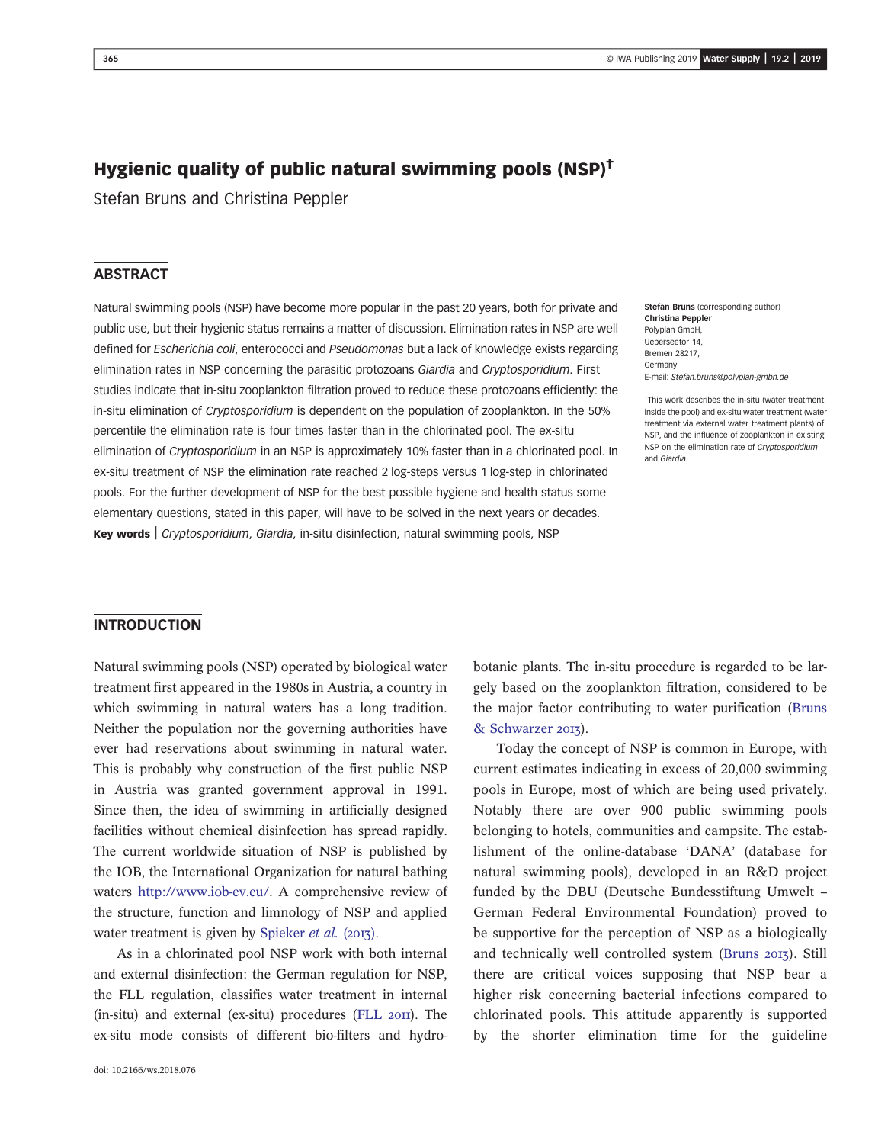# Hygienic quality of public natural swimming pools (NSP)†

Stefan Bruns and Christina Peppler

#### **ABSTRACT**

Natural swimming pools (NSP) have become more popular in the past 20 years, both for private and public use, but their hygienic status remains a matter of discussion. Elimination rates in NSP are well defined for Escherichia coli, enterococci and Pseudomonas but a lack of knowledge exists regarding elimination rates in NSP concerning the parasitic protozoans Giardia and Cryptosporidium. First studies indicate that in-situ zooplankton filtration proved to reduce these protozoans efficiently: the in-situ elimination of Cryptosporidium is dependent on the population of zooplankton. In the 50% percentile the elimination rate is four times faster than in the chlorinated pool. The ex-situ elimination of Cryptosporidium in an NSP is approximately 10% faster than in a chlorinated pool. In ex-situ treatment of NSP the elimination rate reached 2 log-steps versus 1 log-step in chlorinated pools. For the further development of NSP for the best possible hygiene and health status some elementary questions, stated in this paper, will have to be solved in the next years or decades. Key words | Cryptosporidium, Giardia, in-situ disinfection, natural swimming pools, NSP

Stefan Bruns (corresponding author) Christina Peppler Polyplan GmbH, Ueberseetor 14, Bremen 28217, Germany E-mail: [Stefan.bruns@polyplan-gmbh.de](mailto:Stefan.bruns@polyplan-gmbh.de)

† This work describes the in-situ (water treatment inside the pool) and ex-situ water treatment (water treatment via external water treatment plants) of NSP, and the influence of zooplankton in existing NSP on the elimination rate of Cryptosporidium and Giardia.

#### INTRODUCTION

Natural swimming pools (NSP) operated by biological water treatment first appeared in the 1980s in Austria, a country in which swimming in natural waters has a long tradition. Neither the population nor the governing authorities have ever had reservations about swimming in natural water. This is probably why construction of the first public NSP in Austria was granted government approval in 1991. Since then, the idea of swimming in artificially designed facilities without chemical disinfection has spread rapidly. The current worldwide situation of NSP is published by the IOB, the International Organization for natural bathing waters <http://www.iob-ev.eu/>. A comprehensive review of the structure, function and limnology of NSP and applied water treatment is given by [Spieker](#page-5-0) *et al.* ( $2017$ ).

As in a chlorinated pool NSP work with both internal and external disinfection: the German regulation for NSP, the FLL regulation, classifies water treatment in internal  $(in-situ)$  and external  $(ex-situ)$  procedures  $(FLL 20II)$  $(FLL 20II)$ . The ex-situ mode consists of different bio-filters and hydrobotanic plants. The in-situ procedure is regarded to be largely based on the zooplankton filtration, considered to be the major factor contributing to water purification ([Bruns](#page-4-0) [& Schwarzer](#page-4-0) 2013).

Today the concept of NSP is common in Europe, with current estimates indicating in excess of 20,000 swimming pools in Europe, most of which are being used privately. Notably there are over 900 public swimming pools belonging to hotels, communities and campsite. The establishment of the online-database 'DANA' (database for natural swimming pools), developed in an R&D project funded by the DBU (Deutsche Bundesstiftung Umwelt – German Federal Environmental Foundation) proved to be supportive for the perception of NSP as a biologically and technically well controlled system ([Bruns](#page-4-0) 2013). Still there are critical voices supposing that NSP bear a higher risk concerning bacterial infections compared to chlorinated pools. This attitude apparently is supported by the shorter elimination time for the guideline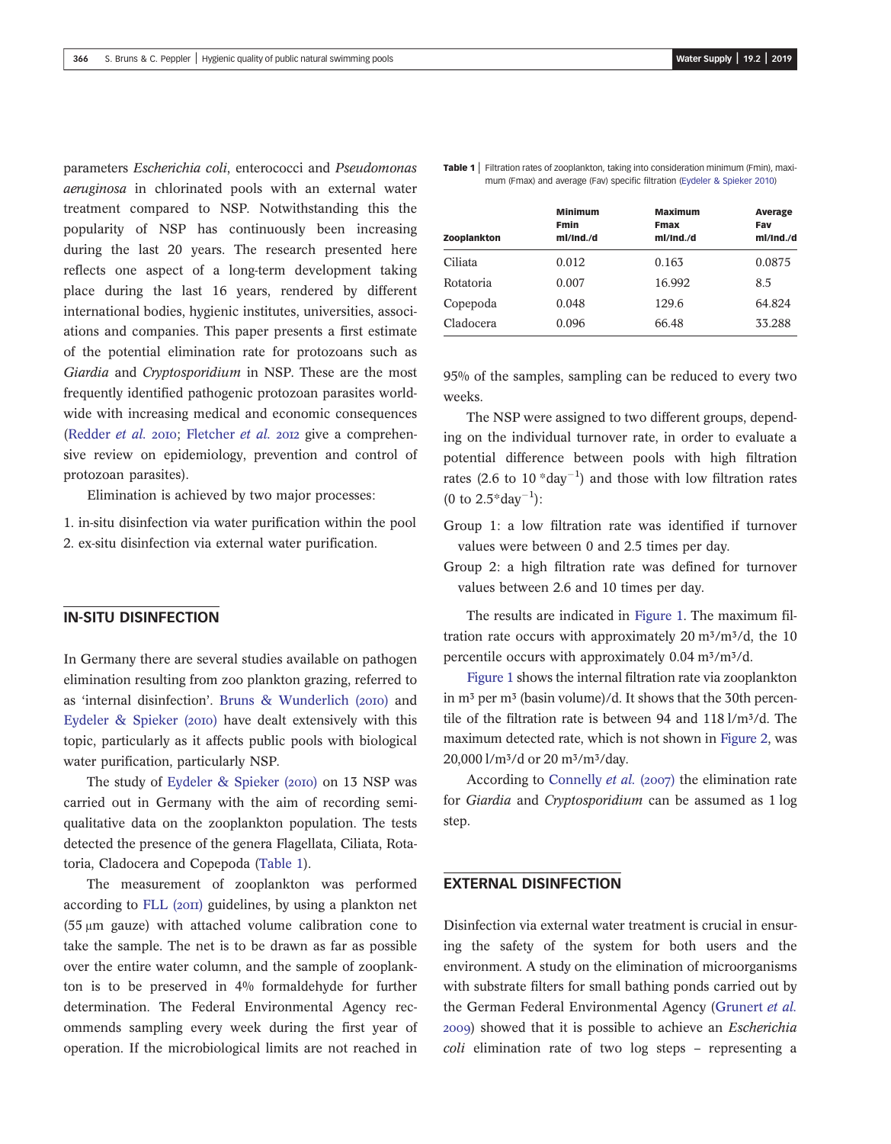parameters Escherichia coli, enterococci and Pseudomonas aeruginosa in chlorinated pools with an external water treatment compared to NSP. Notwithstanding this the popularity of NSP has continuously been increasing during the last 20 years. The research presented here reflects one aspect of a long-term development taking place during the last 16 years, rendered by different international bodies, hygienic institutes, universities, associations and companies. This paper presents a first estimate of the potential elimination rate for protozoans such as Giardia and Cryptosporidium in NSP. These are the most frequently identified pathogenic protozoan parasites worldwide with increasing medical and economic consequences ([Redder](#page-4-0) *et al.* 2010; [Fletcher](#page-4-0) *et al.* 2012 give a comprehensive review on epidemiology, prevention and control of protozoan parasites).

Elimination is achieved by two major processes:

1. in-situ disinfection via water purification within the pool

2. ex-situ disinfection via external water purification.

#### IN-SITU DISINFECTION

In Germany there are several studies available on pathogen elimination resulting from zoo plankton grazing, referred to as 'internal disinfection'. [Bruns & Wunderlich \(](#page-4-0)2010) and Eydeler  $\&$  Spieker (2010) have dealt extensively with this topic, particularly as it affects public pools with biological water purification, particularly NSP.

The study of [Eydeler & Spieker \(](#page-4-0)2010) on 13 NSP was carried out in Germany with the aim of recording semiqualitative data on the zooplankton population. The tests detected the presence of the genera Flagellata, Ciliata, Rotatoria, Cladocera and Copepoda (Table 1).

The measurement of zooplankton was performed according to FLL  $(20\pi)$  guidelines, by using a plankton net  $(55 \mu m)$  gauze) with attached volume calibration cone to take the sample. The net is to be drawn as far as possible over the entire water column, and the sample of zooplankton is to be preserved in 4% formaldehyde for further determination. The Federal Environmental Agency recommends sampling every week during the first year of operation. If the microbiological limits are not reached in Table 1 | Filtration rates of zooplankton, taking into consideration minimum (Fmin), maxi-mum (Fmax) and average (Fav) specific filtration ([Eydeler & Spieker 2010\)](#page-4-0)

| Zooplankton | <b>Minimum</b><br><b>Fmin</b><br>ml/Ind./d | <b>Maximum</b><br><b>Fmax</b><br>ml/Ind./d | Average<br>Fav<br>ml/Ind./d |  |
|-------------|--------------------------------------------|--------------------------------------------|-----------------------------|--|
| Ciliata     | 0.012                                      | 0.163                                      | 0.0875                      |  |
| Rotatoria   | 0.007                                      | 16.992                                     | 8.5                         |  |
| Copepoda    | 0.048                                      | 129.6                                      | 64.824                      |  |
| Cladocera   | 0.096                                      | 66.48                                      | 33.288                      |  |

95% of the samples, sampling can be reduced to every two weeks.

The NSP were assigned to two different groups, depending on the individual turnover rate, in order to evaluate a potential difference between pools with high filtration rates (2.6 to  $10$  \*day<sup>-1</sup>) and those with low filtration rates (0 to  $2.5^*$ day<sup>-1</sup>):

Group 1: a low filtration rate was identified if turnover values were between 0 and 2.5 times per day.

Group 2: a high filtration rate was defined for turnover values between 2.6 and 10 times per day.

The results are indicated in [Figure 1.](#page-2-0) The maximum filtration rate occurs with approximately  $20 \text{ m}^3/\text{m}^3/\text{d}$ , the 10 percentile occurs with approximately  $0.04 \text{ m}^3/\text{m}^3/\text{d}$ .

[Figure 1](#page-2-0) shows the internal filtration rate via zooplankton in  $m<sup>3</sup>$  per  $m<sup>3</sup>$  (basin volume)/d. It shows that the 30th percentile of the filtration rate is between 94 and  $118 \frac{\text{1}}{\text{m}^3/\text{d}}$ . The maximum detected rate, which is not shown in [Figure 2](#page-2-0), was 20,000 l/m<sup>3</sup>/d or 20 m<sup>3</sup>/m<sup>3</sup>/day.

According to [Connelly](#page-4-0) *et al.* (2007) the elimination rate for Giardia and Cryptosporidium can be assumed as 1 log step.

#### EXTERNAL DISINFECTION

Disinfection via external water treatment is crucial in ensuring the safety of the system for both users and the environment. A study on the elimination of microorganisms with substrate filters for small bathing ponds carried out by the German Federal Environmental Agency [\(Grunert](#page-4-0) et al. ) showed that it is possible to achieve an Escherichia coli elimination rate of two log steps – representing a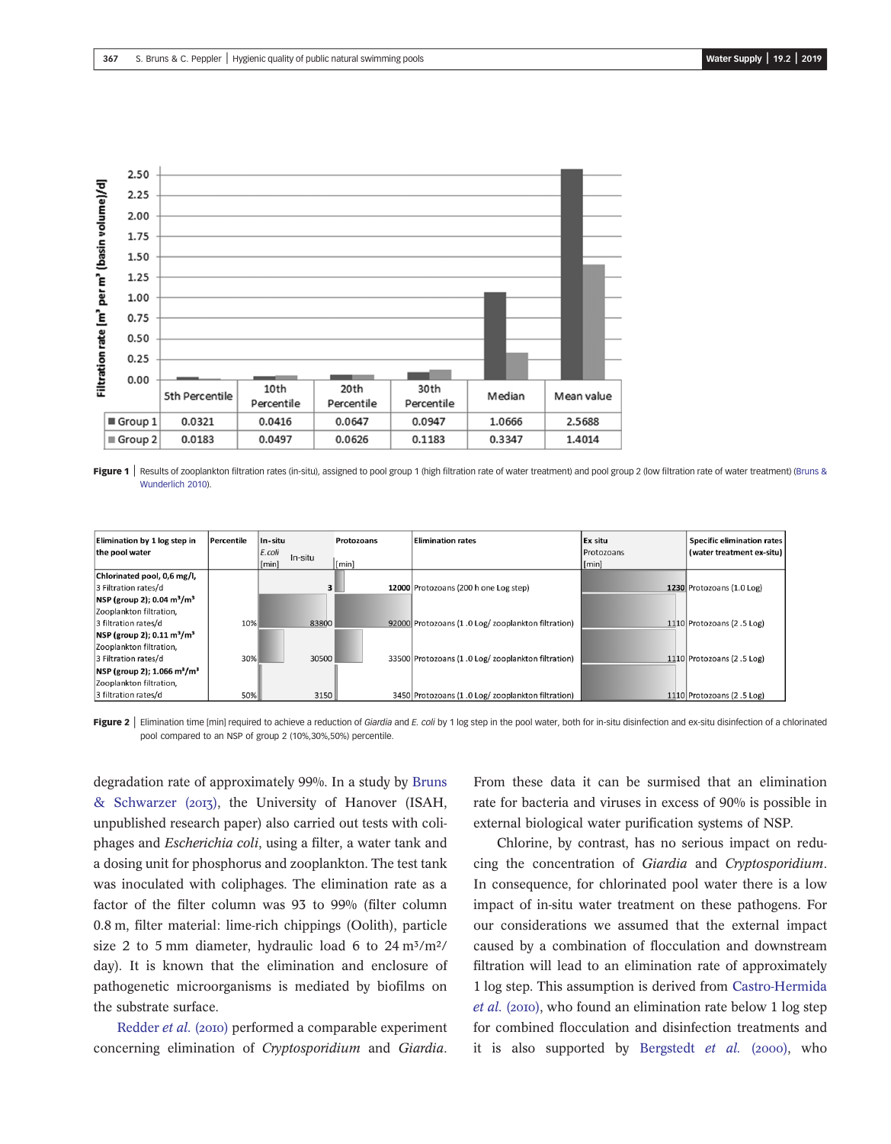<span id="page-2-0"></span>

Figure 1 | Results of zooplankton filtration rates (in-situ), assigned to pool group 1 (high filtration rate of water treatment) and pool group 2 (low filtration rate of water treatment) ([Bruns &](#page-4-0) [Wunderlich 2010\)](#page-4-0).

| Elimination by 1 log step in                           | Percentile | In-situ   |         | Protozoans | <b>Elimination rates</b>                           | Ex situ    | <b>Specific elimination rates</b> |
|--------------------------------------------------------|------------|-----------|---------|------------|----------------------------------------------------|------------|-----------------------------------|
| the pool water                                         |            | $E.$ coli | In-situ |            |                                                    | Protozoans | (water treatment ex-situ)         |
|                                                        |            | [min]     |         | [min]      |                                                    | [min]      |                                   |
| Chlorinated pool, 0,6 mg/l,                            |            |           |         |            |                                                    |            |                                   |
| 3 Filtration rates/d                                   |            |           | 3       |            | 12000 Protozoans (200 h one Log step)              |            | 1230 Protozoans (1.0 Log)         |
| NSP (group 2); 0.04 m <sup>3</sup> /m <sup>3</sup>     |            |           |         |            |                                                    |            |                                   |
| Zooplankton filtration,                                |            |           |         |            |                                                    |            |                                   |
| 3 filtration rates/d                                   | 10%        |           | 83800   |            | 92000 Protozoans (1.0 Log/zooplankton filtration)  |            | 1110 Protozoans (2.5 Log)         |
| $NSP$ (group 2); 0.11 m <sup>3</sup> /m <sup>3</sup>   |            |           |         |            |                                                    |            |                                   |
| Zooplankton filtration.                                |            |           |         |            |                                                    |            |                                   |
| 3 Filtration rates/d                                   | 30%        |           | 30500   |            | 33500 Protozoans (1.0 Log/ zooplankton filtration) |            | 1110 Protozoans (2.5 Log)         |
| $ NSP$ (group 2); 1.066 m <sup>3</sup> /m <sup>3</sup> |            |           |         |            |                                                    |            |                                   |
| Zooplankton filtration,                                |            |           |         |            |                                                    |            |                                   |
| 3 filtration rates/d                                   | 50%        |           | 3150    |            | 3450 Protozoans (1.0 Log/ zooplankton filtration)  |            | 1110 Protozoans (2.5 Log)         |

Figure 2 | Elimination time [min] required to achieve a reduction of Giardia and E. coli by 1 log step in the pool water, both for in-situ disinfection and ex-situ disinfection of a chlorinated pool compared to an NSP of group 2 (10%,30%,50%) percentile.

degradation rate of approximately 99%. In a study by [Bruns](#page-4-0) [& Schwarzer \(](#page-4-0)2013), the University of Hanover (ISAH, unpublished research paper) also carried out tests with coliphages and Escherichia coli, using a filter, a water tank and a dosing unit for phosphorus and zooplankton. The test tank was inoculated with coliphages. The elimination rate as a factor of the filter column was 93 to 99% (filter column 0.8 m, filter material: lime-rich chippings (Oolith), particle size 2 to 5 mm diameter, hydraulic load 6 to  $24 \text{ m}^3/\text{m}^2$ / day). It is known that the elimination and enclosure of pathogenetic microorganisms is mediated by biofilms on the substrate surface.

[Redder](#page-4-0) et al. (2010) performed a comparable experiment concerning elimination of Cryptosporidium and Giardia. From these data it can be surmised that an elimination rate for bacteria and viruses in excess of 90% is possible in external biological water purification systems of NSP.

Chlorine, by contrast, has no serious impact on reducing the concentration of Giardia and Cryptosporidium. In consequence, for chlorinated pool water there is a low impact of in-situ water treatment on these pathogens. For our considerations we assumed that the external impact caused by a combination of flocculation and downstream filtration will lead to an elimination rate of approximately 1 log step. This assumption is derived from [Castro-Hermida](#page-4-0)  $et al. (2010)$  $et al. (2010)$ , who found an elimination rate below 1 log step for combined flocculation and disinfection treatments and it is also supported by [Bergstedt](#page-4-0)  $et$   $al.$  (2000), who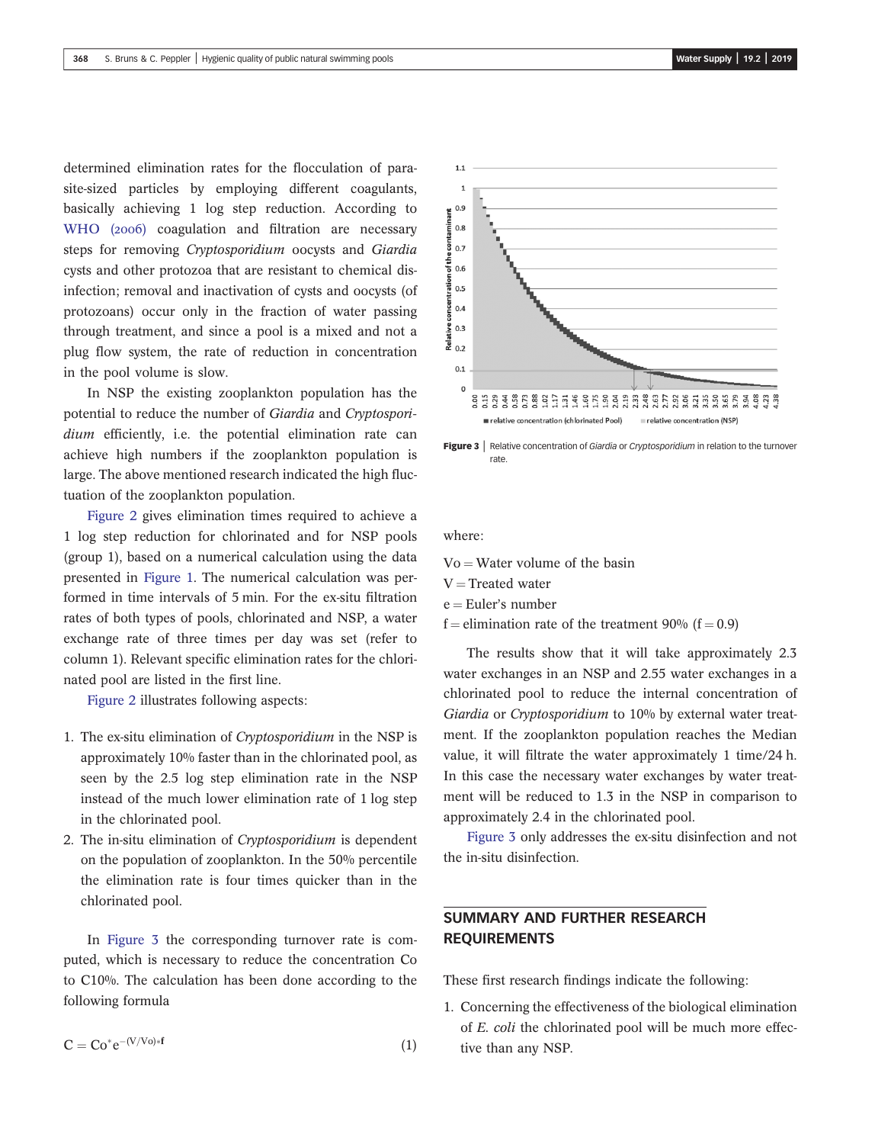determined elimination rates for the flocculation of parasite-sized particles by employing different coagulants, basically achieving 1 log step reduction. According to [WHO \(](#page-5-0)2006) coagulation and filtration are necessary steps for removing Cryptosporidium oocysts and Giardia cysts and other protozoa that are resistant to chemical disinfection; removal and inactivation of cysts and oocysts (of protozoans) occur only in the fraction of water passing through treatment, and since a pool is a mixed and not a plug flow system, the rate of reduction in concentration in the pool volume is slow.

In NSP the existing zooplankton population has the potential to reduce the number of Giardia and Cryptosporidium efficiently, i.e. the potential elimination rate can achieve high numbers if the zooplankton population is large. The above mentioned research indicated the high fluctuation of the zooplankton population.

[Figure 2](#page-2-0) gives elimination times required to achieve a 1 log step reduction for chlorinated and for NSP pools (group 1), based on a numerical calculation using the data presented in [Figure 1](#page-2-0). The numerical calculation was performed in time intervals of 5 min. For the ex-situ filtration rates of both types of pools, chlorinated and NSP, a water exchange rate of three times per day was set (refer to column 1). Relevant specific elimination rates for the chlorinated pool are listed in the first line.

[Figure 2](#page-2-0) illustrates following aspects:

- 1. The ex-situ elimination of Cryptosporidium in the NSP is approximately 10% faster than in the chlorinated pool, as seen by the 2.5 log step elimination rate in the NSP instead of the much lower elimination rate of 1 log step in the chlorinated pool.
- 2. The in-situ elimination of Cryptosporidium is dependent on the population of zooplankton. In the 50% percentile the elimination rate is four times quicker than in the chlorinated pool.

In Figure 3 the corresponding turnover rate is computed, which is necessary to reduce the concentration Co to C10%. The calculation has been done according to the following formula

 $C = Co^*e^{-(V/V_0)*f}$  (1)



**Figure 3** Relative concentration of Giardia or Cryptosporidium in relation to the turnover rate.

where:

 $Vo = Water$  volume of the basin

- $V =$ Treated water
- $e = Euler's number$
- f = elimination rate of the treatment  $90\%$  (f = 0.9)

The results show that it will take approximately 2.3 water exchanges in an NSP and 2.55 water exchanges in a chlorinated pool to reduce the internal concentration of Giardia or Cryptosporidium to 10% by external water treatment. If the zooplankton population reaches the Median value, it will filtrate the water approximately 1 time/24 h. In this case the necessary water exchanges by water treatment will be reduced to 1.3 in the NSP in comparison to approximately 2.4 in the chlorinated pool.

Figure 3 only addresses the ex-situ disinfection and not the in-situ disinfection.

## SUMMARY AND FURTHER RESEARCH REQUIREMENTS

These first research findings indicate the following:

1. Concerning the effectiveness of the biological elimination of E. coli the chlorinated pool will be much more effective than any NSP.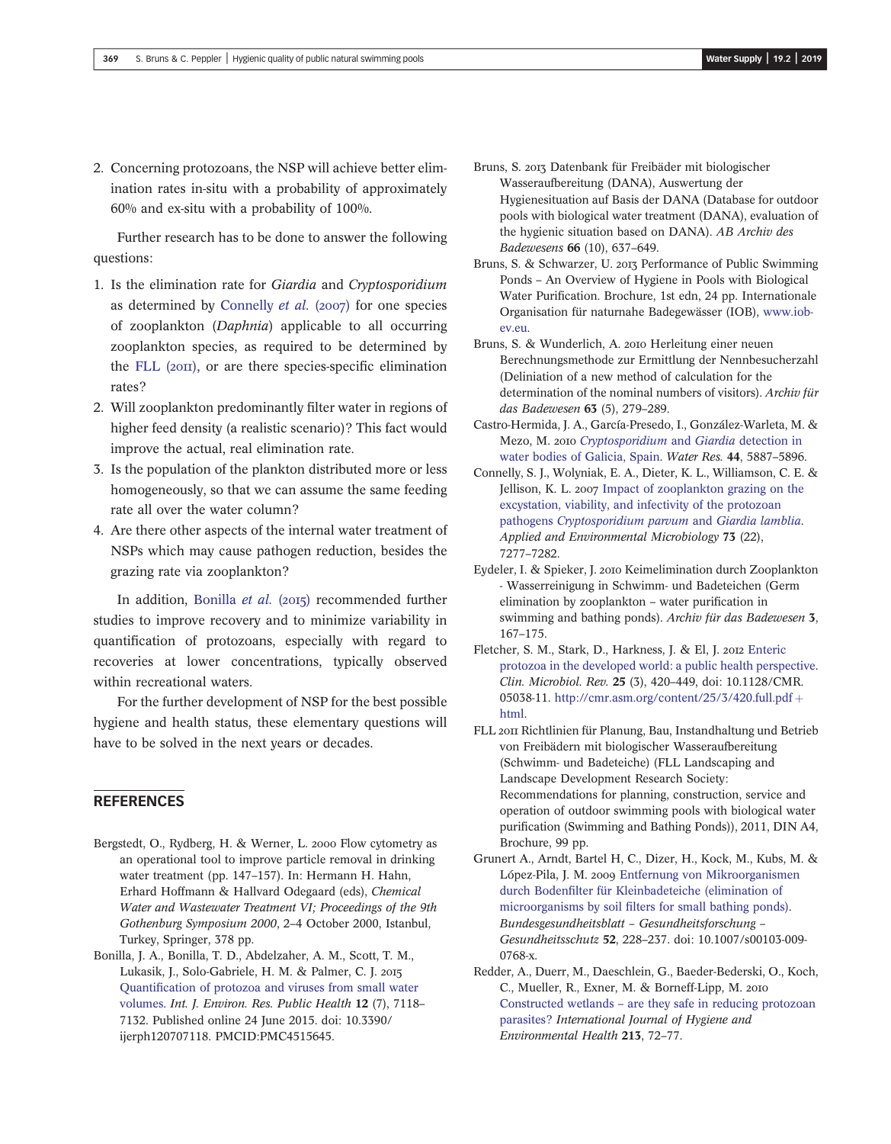<span id="page-4-0"></span>2. Concerning protozoans, the NSP will achieve better elimination rates in-situ with a probability of approximately 60% and ex-situ with a probability of 100%.

Further research has to be done to answer the following questions:

- 1. Is the elimination rate for Giardia and Cryptosporidium as determined by Connelly  $et$  al. (2007) for one species of zooplankton (Daphnia) applicable to all occurring zooplankton species, as required to be determined by the FLL  $(20II)$ , or are there species-specific elimination rates?
- 2. Will zooplankton predominantly filter water in regions of higher feed density (a realistic scenario)? This fact would improve the actual, real elimination rate.
- 3. Is the population of the plankton distributed more or less homogeneously, so that we can assume the same feeding rate all over the water column?
- 4. Are there other aspects of the internal water treatment of NSPs which may cause pathogen reduction, besides the grazing rate via zooplankton?

In addition, Bonilla et al.  $(2015)$  recommended further studies to improve recovery and to minimize variability in quantification of protozoans, especially with regard to recoveries at lower concentrations, typically observed within recreational waters.

For the further development of NSP for the best possible hygiene and health status, these elementary questions will have to be solved in the next years or decades.

### **REFERENCES**

- Bergstedt, O., Rydberg, H. & Werner, L. 2000 Flow cytometry as an operational tool to improve particle removal in drinking water treatment (pp. 147–157). In: Hermann H. Hahn, Erhard Hoffmann & Hallvard Odegaard (eds), Chemical Water and Wastewater Treatment VI; Proceedings of the 9th Gothenburg Symposium 2000, 2–4 October 2000, Istanbul, Turkey, Springer, 378 pp.
- Bonilla, J. A., Bonilla, T. D., Abdelzaher, A. M., Scott, T. M., Lukasik, J., Solo-Gabriele, H. M. & Palmer, C. J. Quantifi[cation of protozoa and viruses from small water](http://dx.doi.org/10.3390/ijerph120707118) [volumes.](http://dx.doi.org/10.3390/ijerph120707118) Int. J. Environ. Res. Public Health 12 (7), 7118– 7132. Published online 24 June 2015. doi: 10.3390/ ijerph120707118. PMCID:PMC4515645.
- Bruns, S. 2013 Datenbank für Freibäder mit biologischer Wasseraufbereitung (DANA), Auswertung der Hygienesituation auf Basis der DANA (Database for outdoor pools with biological water treatment (DANA), evaluation of the hygienic situation based on DANA). AB Archiv des Badewesens 66 (10), 637–649.
- Bruns, S. & Schwarzer, U. 2013 Performance of Public Swimming Ponds – An Overview of Hygiene in Pools with Biological Water Purification. Brochure, 1st edn, 24 pp. Internationale Organisation für naturnahe Badegewässer (IOB), [www.iob](http://www.iob-ev.eu)[ev.eu.](http://www.iob-ev.eu)
- Bruns, S. & Wunderlich, A. 2010 Herleitung einer neuen Berechnungsmethode zur Ermittlung der Nennbesucherzahl (Deliniation of a new method of calculation for the determination of the nominal numbers of visitors). Archiv für das Badewesen 63 (5), 279–289.
- Castro-Hermida, J. A., García-Presedo, I., González-Warleta, M. & Mezo, M. 2010 [Cryptosporidium](http://dx.doi.org/10.1016/j.watres.2010.07.010) and Giardia detection in [water bodies of Galicia, Spain](http://dx.doi.org/10.1016/j.watres.2010.07.010). Water Res. 44, 5887–5896.
- Connelly, S. J., Wolyniak, E. A., Dieter, K. L., Williamson, C. E. & Jellison, K. L. 2007 [Impact of zooplankton grazing on the](http://dx.doi.org/10.1128/AEM.01206-07) [excystation, viability, and infectivity of the protozoan](http://dx.doi.org/10.1128/AEM.01206-07) pathogens [Cryptosporidium parvum](http://dx.doi.org/10.1128/AEM.01206-07) and Giardia lamblia. Applied and Environmental Microbiology 73 (22), 7277–7282.
- Eydeler, I. & Spieker, J. 2010 Keimelimination durch Zooplankton - Wasserreinigung in Schwimm- und Badeteichen (Germ elimination by zooplankton – water purification in swimming and bathing ponds). Archiv für das Badewesen 3, 167–175.
- Fletcher, S. M., Stark, D., Harkness, J. & El, J. 2012 [Enteric](http://dx.doi.org/10.1128/CMR.05038-11) [protozoa in the developed world: a public health perspective](http://dx.doi.org/10.1128/CMR.05038-11). Clin. Microbiol. Rev. 25 (3), 420–449, doi: 10.1128/CMR. 05038-11. [http://cmr.asm.org/content/25/3/420.full.pdf](http://cmr.asm.org/content/25/3/420.full.pdf+html)  $+$ [html.](http://cmr.asm.org/content/25/3/420.full.pdf+html)
- FLL 2011 Richtlinien für Planung, Bau, Instandhaltung und Betrieb von Freibädern mit biologischer Wasseraufbereitung (Schwimm- und Badeteiche) (FLL Landscaping and Landscape Development Research Society: Recommendations for planning, construction, service and operation of outdoor swimming pools with biological water purification (Swimming and Bathing Ponds)), 2011, DIN A4, Brochure, 99 pp.
- Grunert A., Arndt, Bartel H, C., Dizer, H., Kock, M., Kubs, M. & López-Pila, J. M. 2009 [Entfernung von Mikroorganismen](http://dx.doi.org/10.1007/s00103-009-0768-x) durch Bodenfi[lter für Kleinbadeteiche \(elimination of](http://dx.doi.org/10.1007/s00103-009-0768-x) microorganisms by soil fi[lters for small bathing ponds\).](http://dx.doi.org/10.1007/s00103-009-0768-x) Bundesgesundheitsblatt – Gesundheitsforschung – Gesundheitsschutz 52, 228–237. doi: 10.1007/s00103-009- 0768-x.
- Redder, A., Duerr, M., Daeschlein, G., Baeder-Bederski, O., Koch, C., Mueller, R., Exner, M. & Borneff-Lipp, M. Constructed wetlands – [are they safe in reducing protozoan](http://dx.doi.org/10.1016/j.ijheh.2009.12.001) [parasites?](http://dx.doi.org/10.1016/j.ijheh.2009.12.001) International Journal of Hygiene and Environmental Health 213, 72–77.